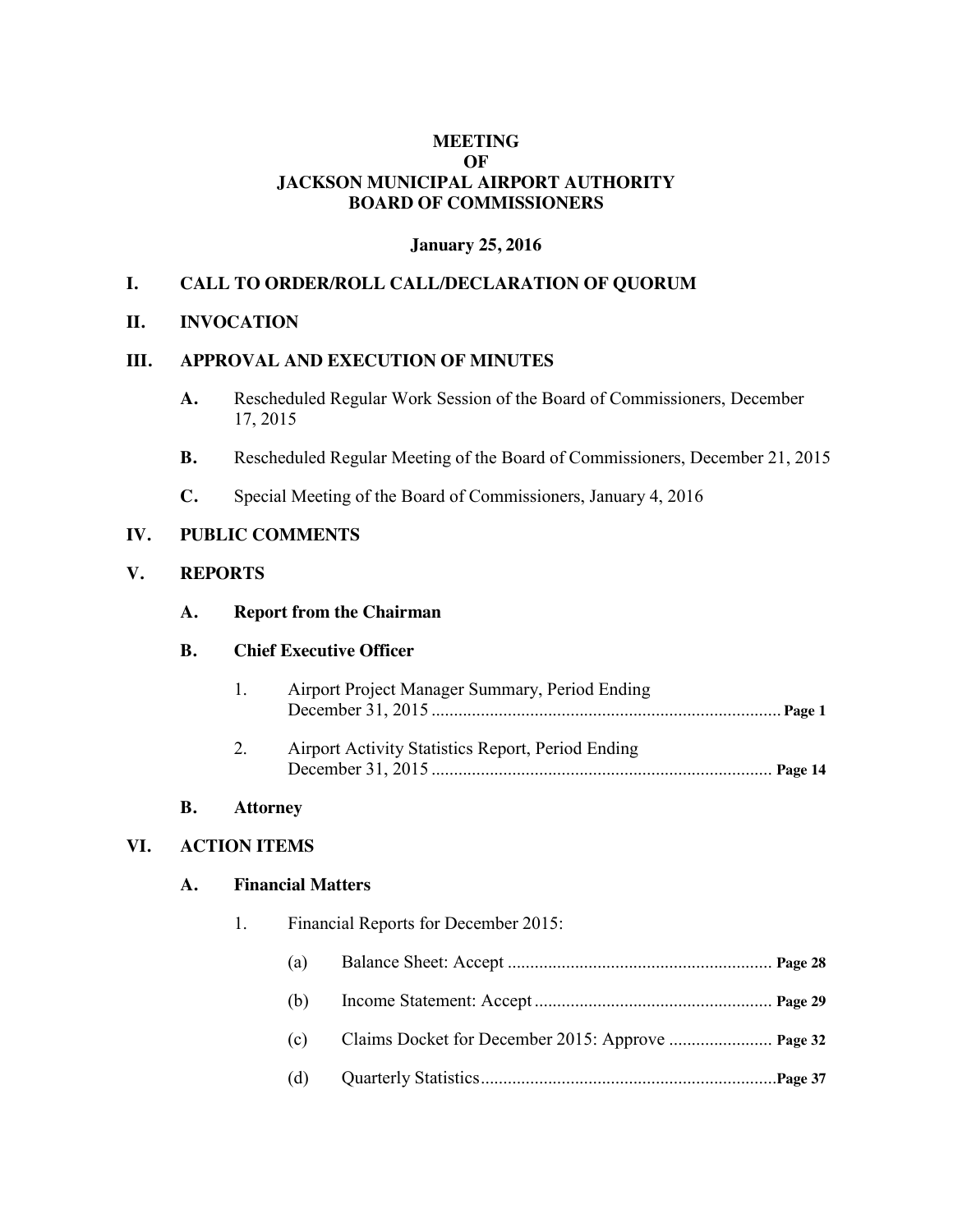## **MEETING OF JACKSON MUNICIPAL AIRPORT AUTHORITY BOARD OF COMMISSIONERS**

### **January 25, 2016**

## **I. CALL TO ORDER/ROLL CALL/DECLARATION OF QUORUM**

#### **II. INVOCATION**

### **III. APPROVAL AND EXECUTION OF MINUTES**

- **A.** Rescheduled Regular Work Session of the Board of Commissioners, December 17, 2015
- **B.** Rescheduled Regular Meeting of the Board of Commissioners, December 21, 2015
- **C.** Special Meeting of the Board of Commissioners, January 4, 2016

#### **IV. PUBLIC COMMENTS**

#### **V. REPORTS**

#### **A. Report from the Chairman**

### **B. Chief Executive Officer**

- 1. Airport Project Manager Summary, Period Ending December 31, 2015 .............................................................................. **Page 1**
- 2. Airport Activity Statistics Report, Period Ending December 31, 2015 ............................................................................ **Page 14**

## **B. Attorney**

## **VI. ACTION ITEMS**

#### **A. Financial Matters**

- 1. Financial Reports for December 2015:
	- (a) Balance Sheet: Accept ........................................................... **Page 28**
	- (b) Income Statement: Accept ..................................................... **Page 29**
	- (c) Claims Docket for December 2015: Approve ....................... **Page 32**
	- (d) Quarterly Statistics..................................................................**Page 37**